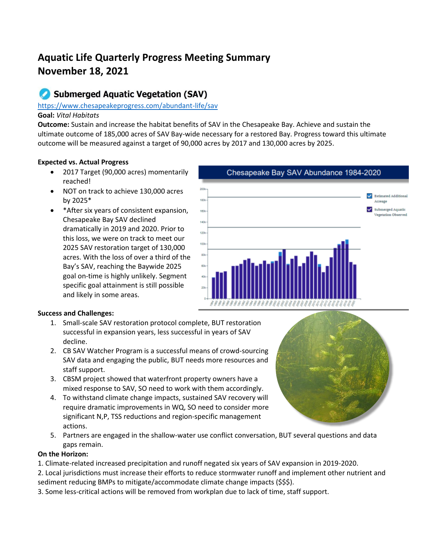# **Aquatic Life Quarterly Progress Meeting Summary November 18, 2021**

# **Submerged Aquatic Vegetation (SAV)**

#### <https://www.chesapeakeprogress.com/abundant-life/sav>

# **Goal:** *Vital Habitats*

**Outcome:** Sustain and increase the habitat benefits of SAV in the Chesapeake Bay. Achieve and sustain the ultimate outcome of 185,000 acres of SAV Bay-wide necessary for a restored Bay. Progress toward this ultimate outcome will be measured against a target of 90,000 acres by 2017 and 130,000 acres by 2025.

# **Expected vs. Actual Progress**

- 2017 Target (90,000 acres) momentarily reached!
- NOT on track to achieve 130,000 acres by 2025\*
- \*After six years of consistent expansion, Chesapeake Bay SAV declined dramatically in 2019 and 2020. Prior to this loss, we were on track to meet our 2025 SAV restoration target of 130,000 acres. With the loss of over a third of the Bay's SAV, reaching the Baywide 2025 goal on-time is highly unlikely. Segment specific goal attainment is still possible and likely in some areas.



# **Success and Challenges:**

- 1. Small-scale SAV restoration protocol complete, BUT restoration successful in expansion years, less successful in years of SAV decline.
- 2. CB SAV Watcher Program is a successful means of crowd-sourcing SAV data and engaging the public, BUT needs more resources and staff support.
- 3. CBSM project showed that waterfront property owners have a mixed response to SAV, SO need to work with them accordingly.
- 4. To withstand climate change impacts, sustained SAV recovery will require dramatic improvements in WQ, SO need to consider more significant N,P, TSS reductions and region-specific management actions.
- 5. Partners are engaged in the shallow-water use conflict conversation, BUT several questions and data gaps remain.

# **On the Horizon:**

- 1. Climate-related increased precipitation and runoff negated six years of SAV expansion in 2019-2020.
- 2. Local jurisdictions must increase their efforts to reduce stormwater runoff and implement other nutrient and sediment reducing BMPs to mitigate/accommodate climate change impacts (\$\$\$).
- 3. Some less-critical actions will be removed from workplan due to lack of time, staff support.

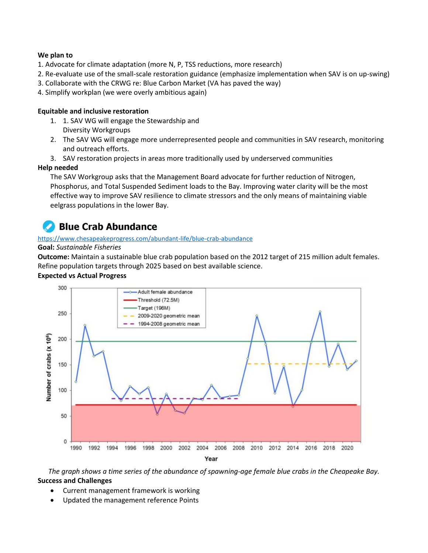#### **We plan to**

- 1. Advocate for climate adaptation (more N, P, TSS reductions, more research)
- 2. Re-evaluate use of the small-scale restoration guidance (emphasize implementation when SAV is on up-swing)
- 3. Collaborate with the CRWG re: Blue Carbon Market (VA has paved the way)
- 4. Simplify workplan (we were overly ambitious again)

#### **Equitable and inclusive restoration**

- 1. 1. SAV WG will engage the Stewardship and Diversity Workgroups
- 2. The SAV WG will engage more underrepresented people and communities in SAV research, monitoring and outreach efforts.
- 3. SAV restoration projects in areas more traditionally used by underserved communities

#### **Help needed**

The SAV Workgroup asks that the Management Board advocate for further reduction of Nitrogen, Phosphorus, and Total Suspended Sediment loads to the Bay. Improving water clarity will be the most effective way to improve SAV resilience to climate stressors and the only means of maintaining viable eelgrass populations in the lower Bay.

# **Blue Crab Abundance**

#### <https://www.chesapeakeprogress.com/abundant-life/blue-crab-abundance>

#### **Goal:** *Sustainable Fisheries*

**Outcome:** Maintain a sustainable blue crab population based on the 2012 target of 215 million adult females. Refine population targets through 2025 based on best available science.

#### **Expected vs Actual Progress**



*The graph shows a time series of the abundance of spawning-age female blue crabs in the Cheapeake Bay.* **Success and Challenges**

- Current management framework is working
- Updated the management reference Points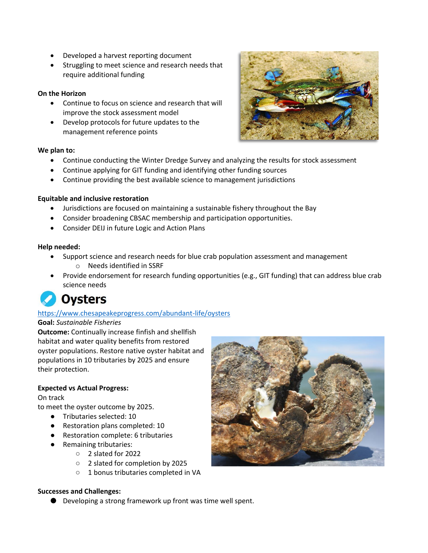- Developed a harvest reporting document
- Struggling to meet science and research needs that require additional funding

# **On the Horizon**

- Continue to focus on science and research that will improve the stock assessment model
- Develop protocols for future updates to the management reference points

#### **We plan to:**

- Continue conducting the Winter Dredge Survey and analyzing the results for stock assessment
- Continue applying for GIT funding and identifying other funding sources
- Continue providing the best available science to management jurisdictions

#### **Equitable and inclusive restoration**

- Jurisdictions are focused on maintaining a sustainable fishery throughout the Bay
- Consider broadening CBSAC membership and participation opportunities.
- Consider DEIJ in future Logic and Action Plans

#### **Help needed:**

- Support science and research needs for blue crab population assessment and management o Needs identified in SSRF
- Provide endorsement for research funding opportunities (e.g., GIT funding) that can address blue crab science needs

# **Oysters**

# <https://www.chesapeakeprogress.com/abundant-life/oysters>

#### **Goal:** *Sustainable Fisheries*

**Outcome:** Continually increase finfish and shellfish habitat and water quality benefits from restored oyster populations. Restore native oyster habitat and populations in 10 tributaries by 2025 and ensure their protection.

# **Expected vs Actual Progress:**

#### On track

to meet the oyster outcome by 2025.

- Tributaries selected: 10
- Restoration plans completed: 10
- Restoration complete: 6 tributaries
- Remaining tributaries:
	- 2 slated for 2022
	- 2 slated for completion by 2025
	- 1 bonus tributaries completed in VA



#### **Successes and Challenges:**

● Developing a strong framework up front was time well spent.

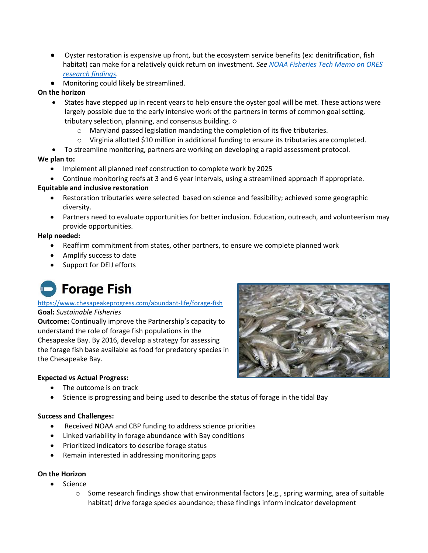- Oyster restoration is expensive up front, but the ecosystem service benefits (ex: denitrification, fish habitat) can make for a relatively quick return on investment. *See [NOAA Fisheries Tech Memo on ORES](https://spo.nmfs.noaa.gov/sites/default/files/TMOHC8.pdf)  [research findings.](https://spo.nmfs.noaa.gov/sites/default/files/TMOHC8.pdf)*
- Monitoring could likely be streamlined.

# **On the horizon**

- States have stepped up in recent years to help ensure the oyster goal will be met. These actions were largely possible due to the early intensive work of the partners in terms of common goal setting, tributary selection, planning, and consensus building. ○
	- o Maryland passed legislation mandating the completion of its five tributaries.
	- $\circ$  Virginia allotted \$10 million in additional funding to ensure its tributaries are completed.
- To streamline monitoring, partners are working on developing a rapid assessment protocol.

# **We plan to:**

- Implement all planned reef construction to complete work by 2025
- Continue monitoring reefs at 3 and 6 year intervals, using a streamlined approach if appropriate.

# **Equitable and inclusive restoration**

- Restoration tributaries were selected based on science and feasibility; achieved some geographic diversity.
- Partners need to evaluate opportunities for better inclusion. Education, outreach, and volunteerism may provide opportunities.

# **Help needed:**

- Reaffirm commitment from states, other partners, to ensure we complete planned work
- Amplify success to date
- Support for DEIJ efforts

# **Forage Fish**

# <https://www.chesapeakeprogress.com/abundant-life/forage-fish>

#### **Goal:** *Sustainable Fisheries*

**Outcome:** Continually improve the Partnership's capacity to understand the role of forage fish populations in the Chesapeake Bay. By 2016, develop a strategy for assessing the forage fish base available as food for predatory species in the Chesapeake Bay.



# **Expected vs Actual Progress:**

- The outcome is on track
- Science is progressing and being used to describe the status of forage in the tidal Bay

# **Success and Challenges:**

- Received NOAA and CBP funding to address science priorities
- Linked variability in forage abundance with Bay conditions
- Prioritized indicators to describe forage status
- Remain interested in addressing monitoring gaps

# **On the Horizon**

- Science
	- $\circ$  Some research findings show that environmental factors (e.g., spring warming, area of suitable habitat) drive forage species abundance; these findings inform indicator development